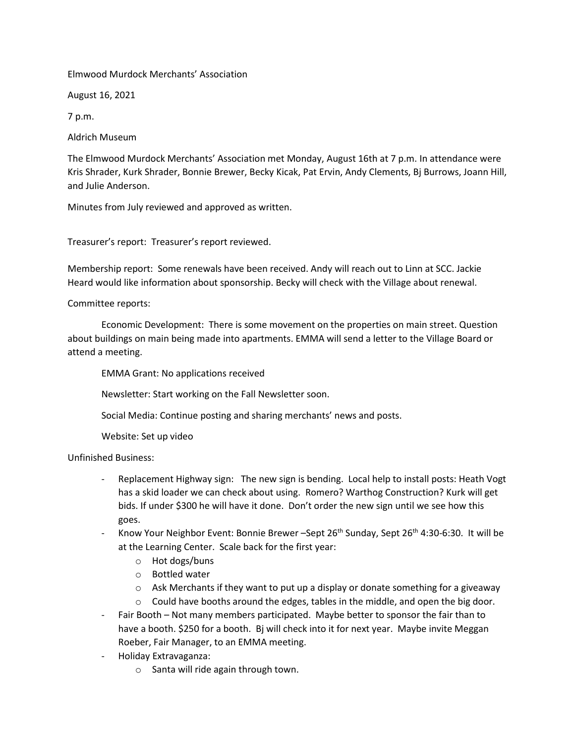Elmwood Murdock Merchants' Association

August 16, 2021

7 p.m.

Aldrich Museum

The Elmwood Murdock Merchants' Association met Monday, August 16th at 7 p.m. In attendance were Kris Shrader, Kurk Shrader, Bonnie Brewer, Becky Kicak, Pat Ervin, Andy Clements, Bj Burrows, Joann Hill, and Julie Anderson.

Minutes from July reviewed and approved as written.

Treasurer's report: Treasurer's report reviewed.

Membership report: Some renewals have been received. Andy will reach out to Linn at SCC. Jackie Heard would like information about sponsorship. Becky will check with the Village about renewal.

## Committee reports:

Economic Development: There is some movement on the properties on main street. Question about buildings on main being made into apartments. EMMA will send a letter to the Village Board or attend a meeting.

EMMA Grant: No applications received

Newsletter: Start working on the Fall Newsletter soon.

Social Media: Continue posting and sharing merchants' news and posts.

Website: Set up video

Unfinished Business:

- Replacement Highway sign: The new sign is bending. Local help to install posts: Heath Vogt has a skid loader we can check about using. Romero? Warthog Construction? Kurk will get bids. If under \$300 he will have it done. Don't order the new sign until we see how this goes.
- Know Your Neighbor Event: Bonnie Brewer Sept 26<sup>th</sup> Sunday, Sept 26<sup>th</sup> 4:30-6:30. It will be at the Learning Center. Scale back for the first year:
	- o Hot dogs/buns
	- o Bottled water
	- $\circ$  Ask Merchants if they want to put up a display or donate something for a giveaway
	- $\circ$  Could have booths around the edges, tables in the middle, and open the big door.
- Fair Booth Not many members participated. Maybe better to sponsor the fair than to have a booth. \$250 for a booth. Bj will check into it for next year. Maybe invite Meggan Roeber, Fair Manager, to an EMMA meeting.
- Holiday Extravaganza:
	- o Santa will ride again through town.